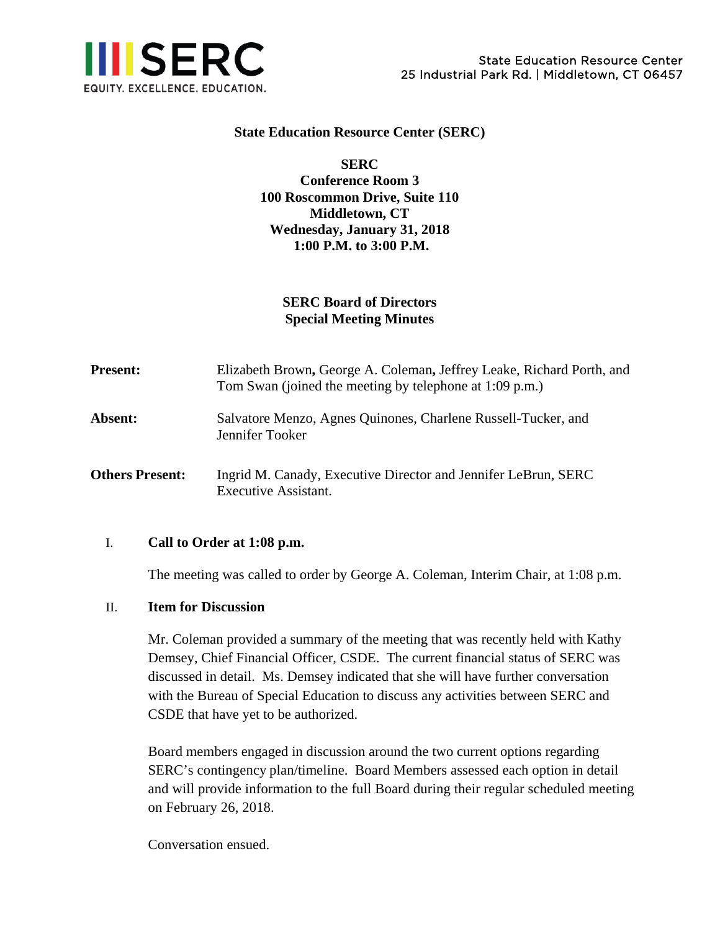

### **State Education Resource Center (SERC)**

## **SERC Conference Room 3 100 Roscommon Drive, Suite 110 Middletown, CT Wednesday, January 31, 2018 1:00 P.M. to 3:00 P.M.**

# **SERC Board of Directors Special Meeting Minutes**

| <b>Present:</b>        | Elizabeth Brown, George A. Coleman, Jeffrey Leake, Richard Porth, and<br>Tom Swan (joined the meeting by telephone at $1:09$ p.m.) |
|------------------------|------------------------------------------------------------------------------------------------------------------------------------|
| <b>Absent:</b>         | Salvatore Menzo, Agnes Quinones, Charlene Russell-Tucker, and<br>Jennifer Tooker                                                   |
| <b>Others Present:</b> | Ingrid M. Canady, Executive Director and Jennifer LeBrun, SERC<br>Executive Assistant.                                             |

### I. **Call to Order at 1:08 p.m.**

The meeting was called to order by George A. Coleman, Interim Chair, at 1:08 p.m.

#### II. **Item for Discussion**

Mr. Coleman provided a summary of the meeting that was recently held with Kathy Demsey, Chief Financial Officer, CSDE. The current financial status of SERC was discussed in detail. Ms. Demsey indicated that she will have further conversation with the Bureau of Special Education to discuss any activities between SERC and CSDE that have yet to be authorized.

Board members engaged in discussion around the two current options regarding SERC's contingency plan/timeline. Board Members assessed each option in detail and will provide information to the full Board during their regular scheduled meeting on February 26, 2018.

Conversation ensued.